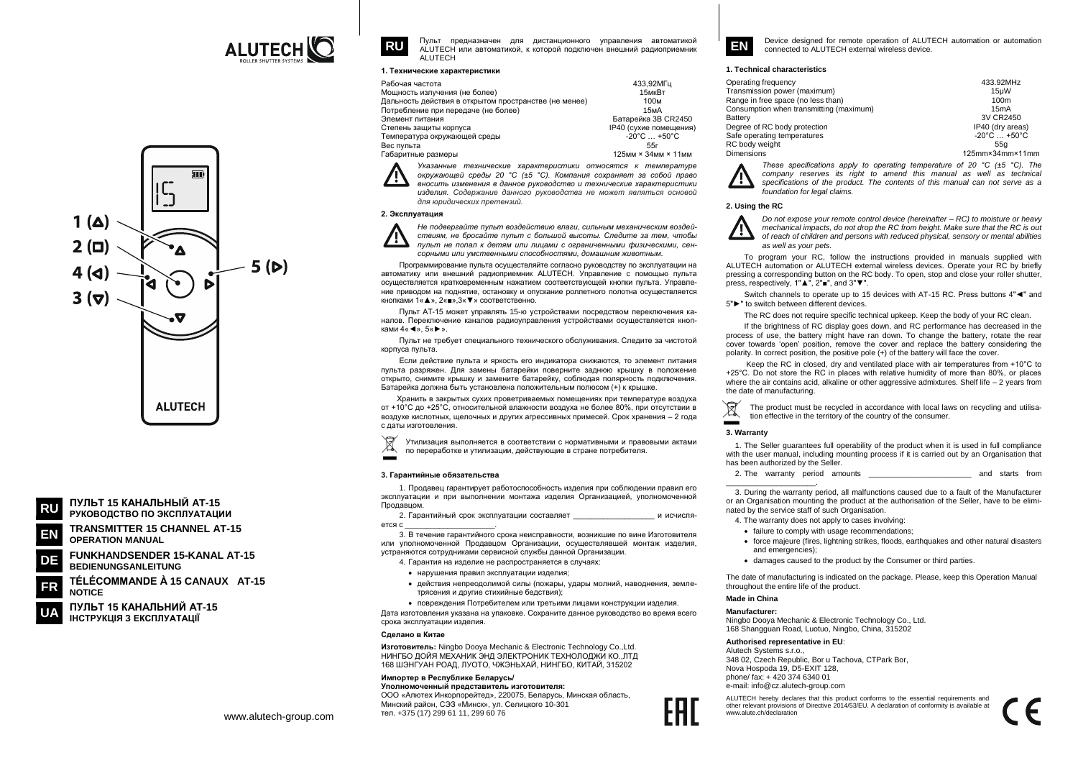





**OPERATION MANUAL** 

**FUNKHANDSENDER 15-KANAL AT-15** DE **BEDIENUNGSANLEITUNG** 

TÉLÉCOMMANDE À 15 CANAUX AT-15 FR **NOTICE** 

ПУЛЬТ 15 КАНАЛЬНИЙ АТ-15 ІНСТРУКЦІЯ З ЕКСПЛУАТАЦІЇ



Пульт предназначен для дистанционного управления автоматикой А ЦТЕСН или автоматикой к которой полключен внешний ралиоприемник ALUTECH

#### 1. Технические характеристики

| Забочая частота                                       | 433.92MFu                         |
|-------------------------------------------------------|-----------------------------------|
| Лощность излучения (не более)                         | 15мкВт                            |
| ]альность действия в открытом пространстве (не менее) | 100 <sub>M</sub>                  |
| Тотребление при передаче (не более)                   | 15 <sub>M</sub> A                 |
| Элемент питания                                       | Батарейка 3B CR2450               |
| Степень защиты корпуса                                | IP40 (сухие помещения)            |
| Гемпература окружающей среды                          | $-20^{\circ}$ C $+50^{\circ}$ C   |
| 3ес пульта                                            | 55г                               |
| абаритные размеры                                     | 125мм $\times$ 34мм $\times$ 11мм |
|                                                       |                                   |

Указанные технические характеристики относятся к температуре окружающей среды 20 °С (±5 °С). Компания сохраняет за собой право вносить изменения в данное руководство и технические характеристики изделия. Содержание данного руководства не может являться основой для юридических претензий.

# 2. Эксплуатация



Не подвергайте пульт воздействию влаги, сильным механическим воздействиям, не бросайте пульт с большой высоты. Следите за тем, чтобы пульт не попал к детям или лицами с ограниченными физическими, сенсорными или умственными способностями. домашним животным

Программирование пульта осуществляйте согласно руководству по эксплуатации на автоматику или внешний радиоприемник ALUTECH. Управление с помощью пульта осуществляется кратковременным нажатием соответствующей кнопки пульта. Управление приводом на поднятие, остановку и опускание роллетного полотна осуществляется кнопками 1« ▲ ». 2« ■ ».3« ▼ » соответственно

Пульт АТ-15 может управлять 15-ю устройствами посредством переключения каналов. Переключение каналов радиоуправления устройствами осуществляется кнопками  $4 \times \blacktriangleleft$ ».  $5 \times \blacktriangleright$ »

Пульт не требует специального технического обслуживания. Следите за чистотой корпуса пульта.

Если действие пульта и яркость его индикатора снижаются, то элемент питания пульта разряжен. Для замены батарейки поверните заднюю крышку в положение открыто, снимите крышку и замените батарейку, соблюдая полярность подключения. Батарейка должна быть установлена положительным полюсом (+) к крышке

Хранить в закрытых сухих проветриваемых помещениях при температуре воздуха от +10°С до +25°С, относительной влажности воздуха не более 80%, при отсутствии в воздухе кислотных, щелочных и других агрессивных примесей. Срок хранения - 2 года с даты изготовления

 $\boxtimes$ Утилизация выполняется в соответствии с нормативными и правовыми актами по переработке и утилизации, действующие в стране потребителя.

## 3. Гарантийные обязательства

1. Продавец гарантирует работоспособность изделия при соблюдении правил его эксплуатации и при выполнении монтажа изделия Организацией, уполномоченной Продавцом.

2. Гарантийный срок эксплуатации составляет и исчисляerca c

3 В течение гарантийного срока неисправности возникшие по вине Изготовителя или уполномоченной Продавцом Организации, осуществлявшей монтаж изделия, устраняются сотрудниками сервисной службы данной Организации.

4. Гарантия на изделие не распространяется в случаях:

- $\bullet$  HADVILIEHUS DDARUD SKCODVATALIUM USDEDUS
- действия непреодолимой силы (пожары, удары молний, наводнения, землетрясения и другие стихийные бедствия):

• повреждения Потребителем или третьими лицами конструкции изделия. Дата изготовления указана на упаковке. Сохраните данное руководство во время всего срока эксплуатации изделия.

## Changen P Kutsa

Изготовитель: Ningbo Dooya Mechanic & Electronic Technology Co., Ltd. НИНГБО ЛОЙЯ МЕХАНИК ЭНЛ ЭЛЕКТРОНИК ТЕХНОЛОЛЖИ КО. ЛТЛ 168 ШЭНГУАН РОАД, ЛУОТО, ЧЖЭНЬХАЙ, НИНГБО, КИТАЙ, 315202

# Импортер в Республике Беларусь/

Уполномоченный представитель изготовителя: ООО «Алютех Инкорпорейтед», 220075, Беларусь, Минская область, Минский район, СЭЗ «Минск», ул. Селицкого 10-301 Ten. +375 (17) 299 61 11, 299 60 76



Device designed for remote operation of ALUTECH automation or automation connected to ALUTECH external wireless device

## 1. Technical characteristics

| Operating frequency                     | 433.92MHz                       |
|-----------------------------------------|---------------------------------|
| Transmission power (maximum)            | 15uW                            |
| Range in free space (no less than)      | 100m                            |
| Consumption when transmitting (maximum) | 15mA                            |
| Battery                                 | 3V CR2450                       |
| Degree of RC body protection            | IP40 (dry areas)                |
| Safe operating temperatures             | $-20^{\circ}$ C $+50^{\circ}$ C |
| RC body weight                          | 55a                             |
| Dimensions                              | 125mm×34mm×11mm                 |

These specifications apply to operating temperature of 20  $^{\circ}$ C ( $\pm$ 5  $^{\circ}$ C). The company reserves its right to amend this manual as well as technical specifications of the product. The contents of this manual can not serve as a foundation for legal claims

# 2. Using the RC

Do not expose your remote control device (hereinafter – RC) to moisture or heavy mechanical impacts, do not drop the RC from height. Make sure that the RC is out of reach of children and persons with reduced physical, sensory or mental abilities as well as your pets.

To program your RC, follow the instructions provided in manuals supplied with ALUTECH automation or ALUTECH external wireless devices. Operate your RC by briefly pressing a corresponding button on the RC body. To open, stop and close your roller shutter. press, respectively, 1"▲", 2"■", and 3"▼".

Switch channels to operate up to 15 devices with AT-15 RC. Press buttons 4" $\blacktriangleleft$ " and 5"▶" to switch between different devices.

The RC does not require specific technical upkeep. Keep the body of your RC clean.

If the brightness of RC display goes down, and RC performance has decreased in the process of use, the battery might have ran down. To change the battery, rotate the rear cover towards 'open' position, remove the cover and replace the battery considering the polarity. In correct position, the positive pole (+) of the battery will face the cover.

Keep the RC in closed, dry and ventilated place with air temperatures from +10°C to +25°C. Do not store the RC in places with relative humidity of more than 80%, or places where the air contains acid, alkaline or other aggressive admixtures. Shelf life  $-2$  years from the date of manufacturing.

The product must be recycled in accordance with local laws on recycling and utilisation effective in the territory of the country of the consumer. -

# 3. Warranty

1. The Seller quarantees full operability of the product when it is used in full compliance with the user manual, including mounting process if it is carried out by an Organisation that has been authorized by the Seller.

2. The warranty period amounts and starts from

3. During the warranty period, all malfunctions caused due to a fault of the Manufacturer or an Organisation mounting the product at the authorisation of the Seller, have to be eliminated by the service staff of such Organisation.

4. The warranty does not apply to cases involving:

- · failure to comply with usage recommendations:
- force maieure (fires, lightning strikes, floods, earthquakes and other natural disasters and emergencies):
- damages caused to the product by the Consumer or third parties.

The date of manufacturing is indicated on the package. Please, keep this Operation Manual throughout the entire life of the product.

# Made in China

# Manufacturer-

Ningbo Doova Mechanic & Electronic Technology Co., Ltd. 168 Shangquan Road, Luotuo, Ningbo, China, 315202

#### Authorised representative in EU:

Alutech Systems s r o 348 02, Czech Republic, Bor u Tachova, CTPark Bor, Nova Hospoda 19, D5-EXIT 128, phone/ fax: +420 374 6340 01 e-mail: info@cz.alutech-group.com

ALUTECH hereby declares that this product conforms to the essential requirements and other relevant provisions of Directive 2014/53/EU. A declaration of conformity is available at www.alute.ch/declaration